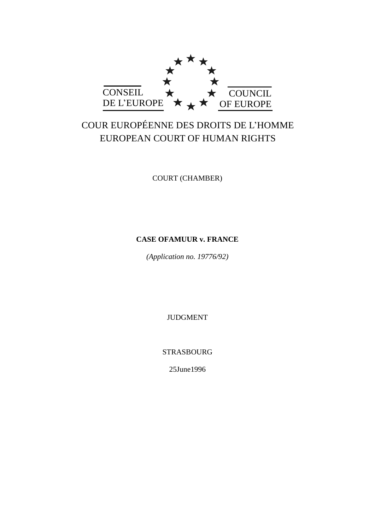

# COUR EUROPÉENNE DES DROITS DE L'HOMME EUROPEAN COURT OF HUMAN RIGHTS

COURT (CHAMBER)

# **CASE OFAMUUR v. FRANCE**

*(Application no. 19776/92)*

JUDGMENT

STRASBOURG

25June1996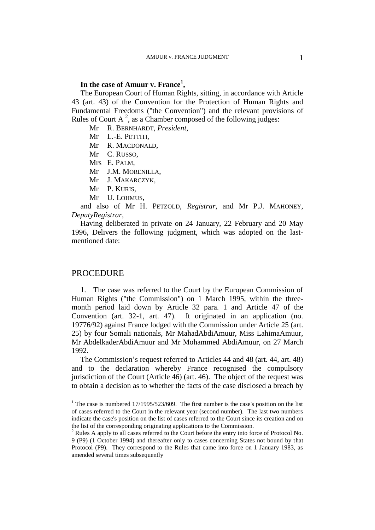# **In the case of Amuur v. France<sup>1</sup> ,**

The European Court of Human Rights, sitting, in accordance with Article 43 (art. 43) of the Convention for the Protection of Human Rights and Fundamental Freedoms ("the Convention") and the relevant provisions of Rules of Court A<sup>2</sup>, as a Chamber composed of the following judges:

Mr R. BERNHARDT, *President*,

Mr L.-E. PETTITI,

Mr R. MACDONALD,

- Mr C. RUSSO,
- Mrs E. PALM,

Mr J.M. MORENILLA,

Mr J. MAKARCZYK,

- Mr P. KURIS,
- Mr U. LOHMUS,

and also of Mr H. PETZOLD, *Registrar*, and Mr P.J. MAHONEY, *DeputyRegistrar*,

Having deliberated in private on 24 January, 22 February and 20 May 1996, Delivers the following judgment, which was adopted on the lastmentioned date:

# PROCEDURE

1

1. The case was referred to the Court by the European Commission of Human Rights ("the Commission") on 1 March 1995, within the threemonth period laid down by Article 32 para. 1 and Article 47 of the Convention (art. 32-1, art. 47). It originated in an application (no. 19776/92) against France lodged with the Commission under Article 25 (art. 25) by four Somali nationals, Mr MahadAbdiAmuur, Miss LahimaAmuur, Mr AbdelkaderAbdiAmuur and Mr Mohammed AbdiAmuur, on 27 March 1992.

The Commission's request referred to Articles 44 and 48 (art. 44, art. 48) and to the declaration whereby France recognised the compulsory jurisdiction of the Court (Article 46) (art. 46). The object of the request was to obtain a decision as to whether the facts of the case disclosed a breach by

 $1$ <sup>1</sup> The case is numbered 17/1995/523/609. The first number is the case's position on the list of cases referred to the Court in the relevant year (second number). The last two numbers indicate the case's position on the list of cases referred to the Court since its creation and on the list of the corresponding originating applications to the Commission.

<sup>&</sup>lt;sup>2</sup> Rules A apply to all cases referred to the Court before the entry into force of Protocol No. 9 (P9) (1 October 1994) and thereafter only to cases concerning States not bound by that Protocol (P9). They correspond to the Rules that came into force on 1 January 1983, as amended several times subsequently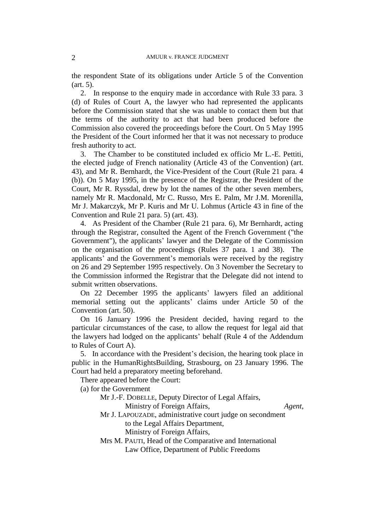the respondent State of its obligations under Article 5 of the Convention (art. 5).

2. In response to the enquiry made in accordance with Rule 33 para. 3 (d) of Rules of Court A, the lawyer who had represented the applicants before the Commission stated that she was unable to contact them but that the terms of the authority to act that had been produced before the Commission also covered the proceedings before the Court. On 5 May 1995 the President of the Court informed her that it was not necessary to produce fresh authority to act.

3. The Chamber to be constituted included ex officio Mr L.-E. Pettiti, the elected judge of French nationality (Article 43 of the Convention) (art. 43), and Mr R. Bernhardt, the Vice-President of the Court (Rule 21 para. 4 (b)). On 5 May 1995, in the presence of the Registrar, the President of the Court, Mr R. Ryssdal, drew by lot the names of the other seven members, namely Mr R. Macdonald, Mr C. Russo, Mrs E. Palm, Mr J.M. Morenilla, Mr J. Makarczyk, Mr P. Kuris and Mr U. Lohmus (Article 43 in fine of the Convention and Rule 21 para. 5) (art. 43).

4. As President of the Chamber (Rule 21 para. 6), Mr Bernhardt, acting through the Registrar, consulted the Agent of the French Government ("the Government"), the applicants' lawyer and the Delegate of the Commission on the organisation of the proceedings (Rules 37 para. 1 and 38). The applicants' and the Government's memorials were received by the registry on 26 and 29 September 1995 respectively. On 3 November the Secretary to the Commission informed the Registrar that the Delegate did not intend to submit written observations.

On 22 December 1995 the applicants' lawyers filed an additional memorial setting out the applicants' claims under Article 50 of the Convention (art. 50).

On 16 January 1996 the President decided, having regard to the particular circumstances of the case, to allow the request for legal aid that the lawyers had lodged on the applicants' behalf (Rule 4 of the Addendum to Rules of Court A).

5. In accordance with the President's decision, the hearing took place in public in the HumanRightsBuilding, Strasbourg, on 23 January 1996. The Court had held a preparatory meeting beforehand.

There appeared before the Court:

(a) for the Government

Mr J.-F. DOBELLE, Deputy Director of Legal Affairs,

Ministry of Foreign Affairs, *Agent*,

Mr J. LAPOUZADE, administrative court judge on secondment to the Legal Affairs Department,

Ministry of Foreign Affairs,

Mrs M. PAUTI, Head of the Comparative and International Law Office, Department of Public Freedoms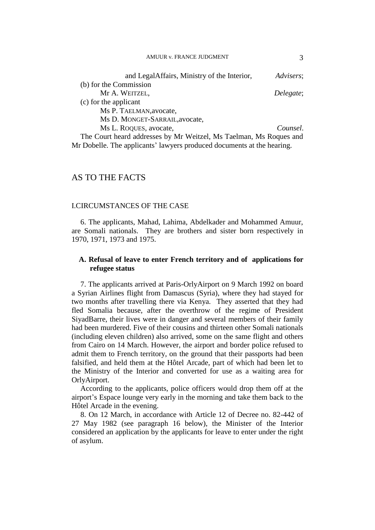AMUUR v. FRANCE JUDGMENT 3

| and LegalAffairs, Ministry of the Interior,                        | Advisers; |
|--------------------------------------------------------------------|-----------|
| (b) for the Commission                                             |           |
| Mr A. WEITZEL,                                                     | Delegate; |
| (c) for the applicant                                              |           |
| Ms P. TAELMAN, avocate,                                            |           |
| Ms D. MONGET-SARRAIL, avocate,                                     |           |
| Ms L. ROQUES, avocate,                                             | Counsel.  |
| The Court heard addresses by Mr Weitzel, Ms Taelman, Ms Roques and |           |

Mr Dobelle. The applicants' lawyers produced documents at the hearing.

AS TO THE FACTS

# I.CIRCUMSTANCES OF THE CASE

6. The applicants, Mahad, Lahima, Abdelkader and Mohammed Amuur, are Somali nationals. They are brothers and sister born respectively in 1970, 1971, 1973 and 1975.

# **A. Refusal of leave to enter French territory and of applications for refugee status**

7. The applicants arrived at Paris-OrlyAirport on 9 March 1992 on board a Syrian Airlines flight from Damascus (Syria), where they had stayed for two months after travelling there via Kenya. They asserted that they had fled Somalia because, after the overthrow of the regime of President SiyadBarre, their lives were in danger and several members of their family had been murdered. Five of their cousins and thirteen other Somali nationals (including eleven children) also arrived, some on the same flight and others from Cairo on 14 March. However, the airport and border police refused to admit them to French territory, on the ground that their passports had been falsified, and held them at the Hôtel Arcade, part of which had been let to the Ministry of the Interior and converted for use as a waiting area for OrlyAirport.

According to the applicants, police officers would drop them off at the airport's Espace lounge very early in the morning and take them back to the Hôtel Arcade in the evening.

8. On 12 March, in accordance with Article 12 of Decree no. 82-442 of 27 May 1982 (see paragraph 16 below), the Minister of the Interior considered an application by the applicants for leave to enter under the right of asylum.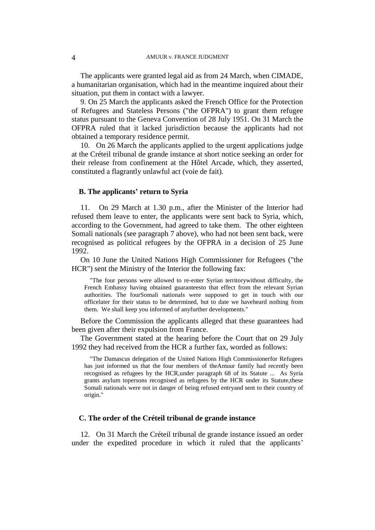The applicants were granted legal aid as from 24 March, when CIMADE, a humanitarian organisation, which had in the meantime inquired about their situation, put them in contact with a lawyer.

9. On 25 March the applicants asked the French Office for the Protection of Refugees and Stateless Persons ("the OFPRA") to grant them refugee status pursuant to the Geneva Convention of 28 July 1951. On 31 March the OFPRA ruled that it lacked jurisdiction because the applicants had not obtained a temporary residence permit.

10. On 26 March the applicants applied to the urgent applications judge at the Créteil tribunal de grande instance at short notice seeking an order for their release from confinement at the Hôtel Arcade, which, they asserted, constituted a flagrantly unlawful act (voie de fait).

#### **B. The applicants' return to Syria**

11. On 29 March at 1.30 p.m., after the Minister of the Interior had refused them leave to enter, the applicants were sent back to Syria, which, according to the Government, had agreed to take them. The other eighteen Somali nationals (see paragraph 7 above), who had not been sent back, were recognised as political refugees by the OFPRA in a decision of 25 June 1992.

On 10 June the United Nations High Commissioner for Refugees ("the HCR") sent the Ministry of the Interior the following fax:

"The four persons were allowed to re-enter Syrian territorywithout difficulty, the French Embassy having obtained guaranteesto that effect from the relevant Syrian authorities. The fourSomali nationals were supposed to get in touch with our officelater for their status to be determined, but to date we haveheard nothing from them. We shall keep you informed of anyfurther developments."

Before the Commission the applicants alleged that these guarantees had been given after their expulsion from France.

The Government stated at the hearing before the Court that on 29 July 1992 they had received from the HCR a further fax, worded as follows:

"The Damascus delegation of the United Nations High Commissionerfor Refugees has just informed us that the four members of theAmuur family had recently been recognised as refugees by the HCR,under paragraph 68 of its Statute ... As Syria grants asylum topersons recognised as refugees by the HCR under its Statute,these Somali nationals were not in danger of being refused entryand sent to their country of origin."

# **C. The order of the Créteil tribunal de grande instance**

12. On 31 March the Créteil tribunal de grande instance issued an order under the expedited procedure in which it ruled that the applicants'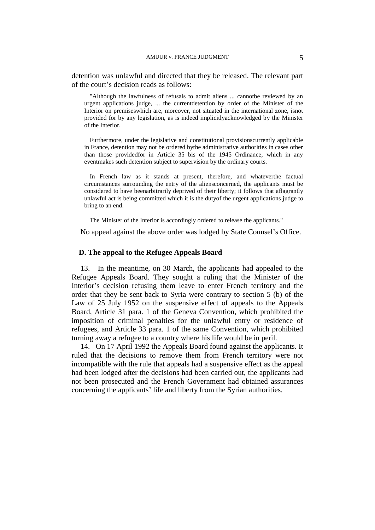detention was unlawful and directed that they be released. The relevant part of the court's decision reads as follows:

"Although the lawfulness of refusals to admit aliens ... cannotbe reviewed by an urgent applications judge, ... the currentdetention by order of the Minister of the Interior on premiseswhich are, moreover, not situated in the international zone, isnot provided for by any legislation, as is indeed implicitlyacknowledged by the Minister of the Interior.

Furthermore, under the legislative and constitutional provisionscurrently applicable in France, detention may not be ordered bythe administrative authorities in cases other than those providedfor in Article 35 bis of the 1945 Ordinance, which in any eventmakes such detention subject to supervision by the ordinary courts.

In French law as it stands at present, therefore, and whateverthe factual circumstances surrounding the entry of the aliensconcerned, the applicants must be considered to have beenarbitrarily deprived of their liberty; it follows that aflagrantly unlawful act is being committed which it is the dutyof the urgent applications judge to bring to an end.

The Minister of the Interior is accordingly ordered to release the applicants."

No appeal against the above order was lodged by State Counsel's Office.

## **D. The appeal to the Refugee Appeals Board**

13. In the meantime, on 30 March, the applicants had appealed to the Refugee Appeals Board. They sought a ruling that the Minister of the Interior's decision refusing them leave to enter French territory and the order that they be sent back to Syria were contrary to section 5 (b) of the Law of 25 July 1952 on the suspensive effect of appeals to the Appeals Board, Article 31 para. 1 of the Geneva Convention, which prohibited the imposition of criminal penalties for the unlawful entry or residence of refugees, and Article 33 para. 1 of the same Convention, which prohibited turning away a refugee to a country where his life would be in peril.

14. On 17 April 1992 the Appeals Board found against the applicants. It ruled that the decisions to remove them from French territory were not incompatible with the rule that appeals had a suspensive effect as the appeal had been lodged after the decisions had been carried out, the applicants had not been prosecuted and the French Government had obtained assurances concerning the applicants' life and liberty from the Syrian authorities.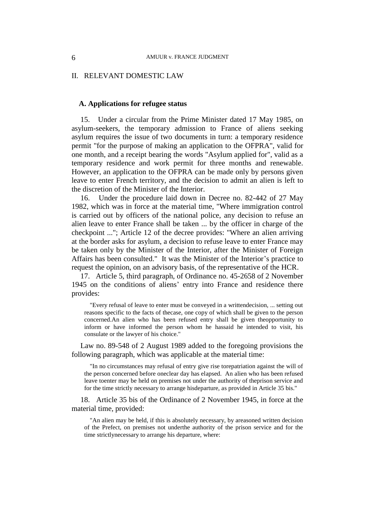# II. RELEVANT DOMESTIC LAW

## **A. Applications for refugee status**

15. Under a circular from the Prime Minister dated 17 May 1985, on asylum-seekers, the temporary admission to France of aliens seeking asylum requires the issue of two documents in turn: a temporary residence permit "for the purpose of making an application to the OFPRA", valid for one month, and a receipt bearing the words "Asylum applied for", valid as a temporary residence and work permit for three months and renewable. However, an application to the OFPRA can be made only by persons given leave to enter French territory, and the decision to admit an alien is left to the discretion of the Minister of the Interior.

16. Under the procedure laid down in Decree no. 82-442 of 27 May 1982, which was in force at the material time, "Where immigration control is carried out by officers of the national police, any decision to refuse an alien leave to enter France shall be taken ... by the officer in charge of the checkpoint ..."; Article 12 of the decree provides: "Where an alien arriving at the border asks for asylum, a decision to refuse leave to enter France may be taken only by the Minister of the Interior, after the Minister of Foreign Affairs has been consulted." It was the Minister of the Interior's practice to request the opinion, on an advisory basis, of the representative of the HCR.

17. Article 5, third paragraph, of Ordinance no. 45-2658 of 2 November 1945 on the conditions of aliens' entry into France and residence there provides:

"Every refusal of leave to enter must be conveyed in a writtendecision, ... setting out reasons specific to the facts of thecase, one copy of which shall be given to the person concerned.An alien who has been refused entry shall be given theopportunity to inform or have informed the person whom he hassaid he intended to visit, his consulate or the lawyer of his choice."

Law no. 89-548 of 2 August 1989 added to the foregoing provisions the following paragraph, which was applicable at the material time:

"In no circumstances may refusal of entry give rise torepatriation against the will of the person concerned before oneclear day has elapsed. An alien who has been refused leave toenter may be held on premises not under the authority of theprison service and for the time strictly necessary to arrange hisdeparture, as provided in Article 35 bis."

18. Article 35 bis of the Ordinance of 2 November 1945, in force at the material time, provided:

"An alien may be held, if this is absolutely necessary, by areasoned written decision of the Prefect, on premises not underthe authority of the prison service and for the time strictlynecessary to arrange his departure, where: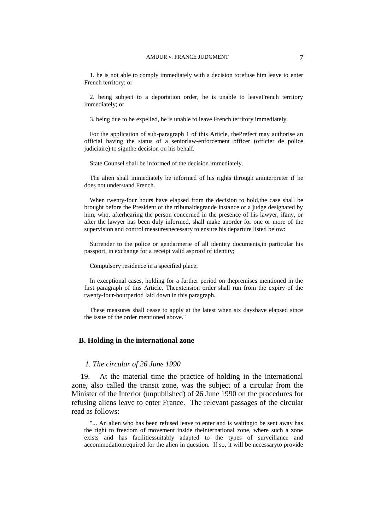1. he is not able to comply immediately with a decision torefuse him leave to enter French territory; or

2. being subject to a deportation order, he is unable to leaveFrench territory immediately; or

3. being due to be expelled, he is unable to leave French territory immediately.

For the application of sub-paragraph 1 of this Article, thePrefect may authorise an official having the status of a seniorlaw-enforcement officer (officier de police judiciaire) to signthe decision on his behalf.

State Counsel shall be informed of the decision immediately.

The alien shall immediately be informed of his rights through aninterpreter if he does not understand French.

When twenty-four hours have elapsed from the decision to hold,the case shall be brought before the President of the tribunaldegrande instance or a judge designated by him, who, afterhearing the person concerned in the presence of his lawyer, ifany, or after the lawyer has been duly informed, shall make anorder for one or more of the supervision and control measuresnecessary to ensure his departure listed below:

Surrender to the police or gendarmerie of all identity documents,in particular his passport, in exchange for a receipt valid asproof of identity;

Compulsory residence in a specified place;

In exceptional cases, holding for a further period on thepremises mentioned in the first paragraph of this Article. Theextension order shall run from the expiry of the twenty-four-hourperiod laid down in this paragraph.

These measures shall cease to apply at the latest when six dayshave elapsed since the issue of the order mentioned above."

#### **B. Holding in the international zone**

#### *1. The circular of 26 June 1990*

19. At the material time the practice of holding in the international zone, also called the transit zone, was the subject of a circular from the Minister of the Interior (unpublished) of 26 June 1990 on the procedures for refusing aliens leave to enter France. The relevant passages of the circular read as follows:

"... An alien who has been refused leave to enter and is waitingto be sent away has the right to freedom of movement inside theinternational zone, where such a zone exists and has facilitiessuitably adapted to the types of surveillance and accommodationrequired for the alien in question. If so, it will be necessaryto provide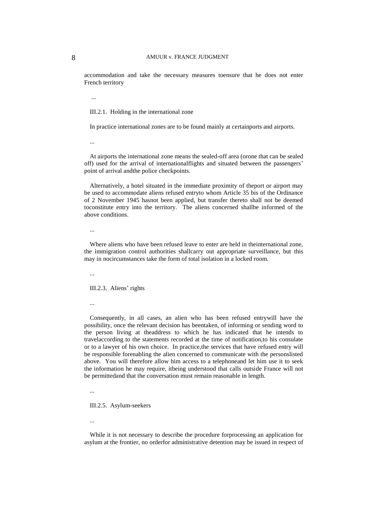#### 8 AMUUR v. FRANCE JUDGMENT

accommodation and take the necessary measures toensure that he does not enter French territory

III.2.1. Holding in the international zone

In practice international zones are to be found mainly at certainports and airports.

At airports the international zone means the sealed-off area (orone that can be sealed off) used for the arrival of internationalflights and situated between the passengers' point of arrival andthe police checkpoints.

Alternatively, a hotel situated in the immediate proximity of theport or airport may be used to accommodate aliens refused entryto whom Article 35 bis of the Ordinance of 2 November 1945 hasnot been applied, but transfer thereto shall not be deemed toconstitute entry into the territory. The aliens concerned shallbe informed of the above conditions.

...

Where aliens who have been refused leave to enter are held in theinternational zone, the immigration control authorities shallcarry out appropriate surveillance, but this may in nocircumstances take the form of total isolation in a locked room.

III.2.3. Aliens' rights

...

Consequently, in all cases, an alien who has been refused entrywill have the possibility, once the relevant decision has beentaken, of informing or sending word to the person living at theaddress to which he has indicated that he intends to travelaccording to the statements recorded at the time of notification,to his consulate or to a lawyer of his own choice. In practice,the services that have refused entry will be responsible forenabling the alien concerned to communicate with the personslisted above. You will therefore allow him access to a telephoneand let him use it to seek the information he may require, itbeing understood that calls outside France will not be permittedand that the conversation must remain reasonable in length.

...

III.2.5. Asylum-seekers

...

While it is not necessary to describe the procedure forprocessing an application for asylum at the frontier, no orderfor administrative detention may be issued in respect of

...

...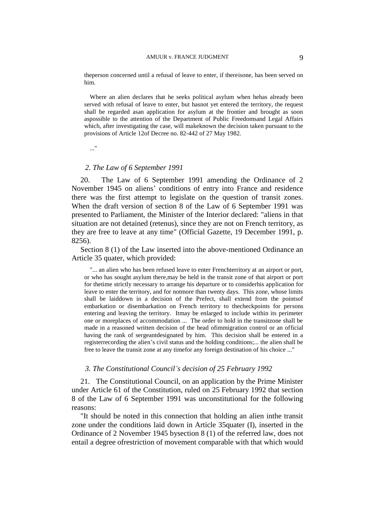theperson concerned until a refusal of leave to enter, if thereisone, has been served on him.

Where an alien declares that he seeks political asylum when hehas already been served with refusal of leave to enter, but hasnot yet entered the territory, the request shall be regarded asan application for asylum at the frontier and brought as soon aspossible to the attention of the Department of Public Freedomsand Legal Affairs which, after investigating the case, will makeknown the decision taken pursuant to the provisions of Article 12of Decree no. 82-442 of 27 May 1982.

..."

#### *2. The Law of 6 September 1991*

20. The Law of 6 September 1991 amending the Ordinance of 2 November 1945 on aliens' conditions of entry into France and residence there was the first attempt to legislate on the question of transit zones. When the draft version of section 8 of the Law of 6 September 1991 was presented to Parliament, the Minister of the Interior declared: "aliens in that situation are not detained (retenus), since they are not on French territory, as they are free to leave at any time" (Official Gazette, 19 December 1991, p. 8256).

Section 8 (1) of the Law inserted into the above-mentioned Ordinance an Article 35 quater, which provided:

"... an alien who has been refused leave to enter Frenchterritory at an airport or port, or who has sought asylum there,may be held in the transit zone of that airport or port for thetime strictly necessary to arrange his departure or to considerhis application for leave to enter the territory, and for notmore than twenty days. This zone, whose limits shall be laiddown in a decision of the Prefect, shall extend from the pointsof embarkation or disembarkation on French territory to thecheckpoints for persons entering and leaving the territory. Itmay be enlarged to include within its perimeter one or moreplaces of accommodation ... The order to hold in the transitzone shall be made in a reasoned written decision of the head ofimmigration control or an official having the rank of sergeantdesignated by him. This decision shall be entered in a registerrecording the alien's civil status and the holding conditions;... the alien shall be free to leave the transit zone at any timefor any foreign destination of his choice ..."

#### *3. The Constitutional Council's decision of 25 February 1992*

21. The Constitutional Council, on an application by the Prime Minister under Article 61 of the Constitution, ruled on 25 February 1992 that section 8 of the Law of 6 September 1991 was unconstitutional for the following reasons:

"It should be noted in this connection that holding an alien inthe transit zone under the conditions laid down in Article 35quater (I), inserted in the Ordinance of 2 November 1945 bysection 8 (1) of the referred law, does not entail a degree ofrestriction of movement comparable with that which would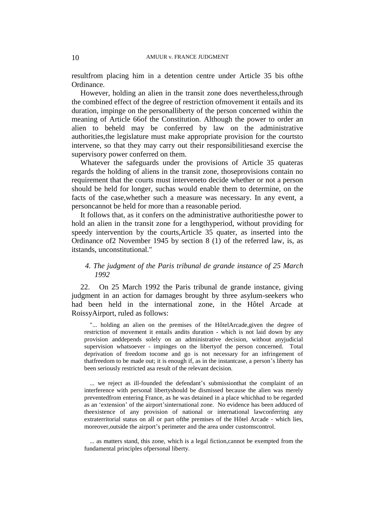resultfrom placing him in a detention centre under Article 35 bis ofthe Ordinance.

However, holding an alien in the transit zone does nevertheless,through the combined effect of the degree of restriction ofmovement it entails and its duration, impinge on the personalliberty of the person concerned within the meaning of Article 66of the Constitution. Although the power to order an alien to beheld may be conferred by law on the administrative authorities,the legislature must make appropriate provision for the courtsto intervene, so that they may carry out their responsibilitiesand exercise the supervisory power conferred on them.

Whatever the safeguards under the provisions of Article 35 quateras regards the holding of aliens in the transit zone, thoseprovisions contain no requirement that the courts must interveneto decide whether or not a person should be held for longer, suchas would enable them to determine, on the facts of the case,whether such a measure was necessary. In any event, a personcannot be held for more than a reasonable period.

It follows that, as it confers on the administrative authoritiesthe power to hold an alien in the transit zone for a lengthyperiod, without providing for speedy intervention by the courts,Article 35 quater, as inserted into the Ordinance of2 November 1945 by section 8 (1) of the referred law, is, as itstands, unconstitutional."

# *4. The judgment of the Paris tribunal de grande instance of 25 March 1992*

22. On 25 March 1992 the Paris tribunal de grande instance, giving judgment in an action for damages brought by three asylum-seekers who had been held in the international zone, in the Hôtel Arcade at RoissyAirport, ruled as follows:

"... holding an alien on the premises of the HôtelArcade,given the degree of restriction of movement it entails andits duration - which is not laid down by any provision anddepends solely on an administrative decision, without anyjudicial supervision whatsoever - impinges on the libertyof the person concerned. Total deprivation of freedom tocome and go is not necessary for an infringement of thatfreedom to be made out; it is enough if, as in the instantcase, a person's liberty has been seriously restricted asa result of the relevant decision.

... we reject as ill-founded the defendant's submissionthat the complaint of an interference with personal libertyshould be dismissed because the alien was merely preventedfrom entering France, as he was detained in a place whichhad to be regarded as an 'extension' of the airport'sinternational zone. No evidence has been adduced of theexistence of any provision of national or international lawconferring any extraterritorial status on all or part ofthe premises of the Hôtel Arcade - which lies, moreover,outside the airport's perimeter and the area under customscontrol.

... as matters stand, this zone, which is a legal fiction,cannot be exempted from the fundamental principles ofpersonal liberty.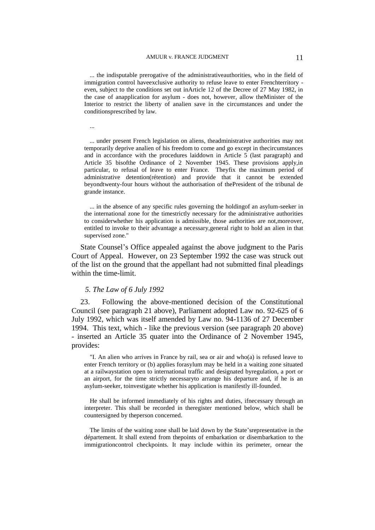... the indisputable prerogative of the administrativeauthorities, who in the field of immigration control haveexclusive authority to refuse leave to enter Frenchterritory even, subject to the conditions set out inArticle 12 of the Decree of 27 May 1982, in the case of anapplication for asylum - does not, however, allow theMinister of the Interior to restrict the liberty of analien save in the circumstances and under the conditionsprescribed by law.

... under present French legislation on aliens, theadministrative authorities may not temporarily deprive analien of his freedom to come and go except in thecircumstances and in accordance with the procedures laiddown in Article 5 (last paragraph) and Article 35 bisofthe Ordinance of 2 November 1945. These provisions apply,in particular, to refusal of leave to enter France. Theyfix the maximum period of administrative detention(rétention) and provide that it cannot be extended beyondtwenty-four hours without the authorisation of thePresident of the tribunal de grande instance.

... in the absence of any specific rules governing the holdingof an asylum-seeker in the international zone for the timestrictly necessary for the administrative authorities to considerwhether his application is admissible, those authorities are not,moreover, entitled to invoke to their advantage a necessary,general right to hold an alien in that supervised zone."

State Counsel's Office appealed against the above judgment to the Paris Court of Appeal. However, on 23 September 1992 the case was struck out of the list on the ground that the appellant had not submitted final pleadings within the time-limit.

## *5. The Law of 6 July 1992*

...

23. Following the above-mentioned decision of the Constitutional Council (see paragraph 21 above), Parliament adopted Law no. 92-625 of 6 July 1992, which was itself amended by Law no. 94-1136 of 27 December 1994. This text, which - like the previous version (see paragraph 20 above) - inserted an Article 35 quater into the Ordinance of 2 November 1945, provides:

"I. An alien who arrives in France by rail, sea or air and who(a) is refused leave to enter French territory or (b) applies forasylum may be held in a waiting zone situated at a railwaystation open to international traffic and designated byregulation, a port or an airport, for the time strictly necessaryto arrange his departure and, if he is an asylum-seeker, toinvestigate whether his application is manifestly ill-founded.

He shall be informed immediately of his rights and duties, ifnecessary through an interpreter. This shall be recorded in theregister mentioned below, which shall be countersigned by theperson concerned.

The limits of the waiting zone shall be laid down by the State'srepresentative in the département. It shall extend from thepoints of embarkation or disembarkation to the immigrationcontrol checkpoints. It may include within its perimeter, ornear the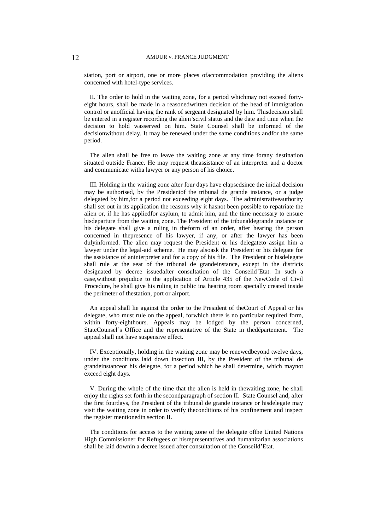station, port or airport, one or more places ofaccommodation providing the aliens concerned with hotel-type services.

II. The order to hold in the waiting zone, for a period whichmay not exceed fortyeight hours, shall be made in a reasonedwritten decision of the head of immigration control or anofficial having the rank of sergeant designated by him. Thisdecision shall be entered in a register recording the alien'scivil status and the date and time when the decision to hold wasserved on him. State Counsel shall be informed of the decisionwithout delay. It may be renewed under the same conditions andfor the same period.

The alien shall be free to leave the waiting zone at any time forany destination situated outside France. He may request theassistance of an interpreter and a doctor and communicate witha lawyer or any person of his choice.

III. Holding in the waiting zone after four days have elapsedsince the initial decision may be authorised, by the Presidentof the tribunal de grande instance, or a judge delegated by him,for a period not exceeding eight days. The administrativeauthority shall set out in its application the reasons why it hasnot been possible to repatriate the alien or, if he has appliedfor asylum, to admit him, and the time necessary to ensure hisdeparture from the waiting zone. The President of the tribunaldegrande instance or his delegate shall give a ruling in theform of an order, after hearing the person concerned in thepresence of his lawyer, if any, or after the lawyer has been dulyinformed. The alien may request the President or his delegateto assign him a lawyer under the legal-aid scheme. He may alsoask the President or his delegate for the assistance of aninterpreter and for a copy of his file. The President or hisdelegate shall rule at the seat of the tribunal de grandeinstance, except in the districts designated by decree issuedafter consultation of the Conseild'Etat. In such a case,without prejudice to the application of Article 435 of the NewCode of Civil Procedure, he shall give his ruling in public ina hearing room specially created inside the perimeter of thestation, port or airport.

An appeal shall lie against the order to the President of theCourt of Appeal or his delegate, who must rule on the appeal, forwhich there is no particular required form, within forty-eighthours. Appeals may be lodged by the person concerned, StateCounsel's Office and the representative of the State in thedépartement. The appeal shall not have suspensive effect.

IV. Exceptionally, holding in the waiting zone may be renewedbeyond twelve days, under the conditions laid down insection III, by the President of the tribunal de grandeinstanceor his delegate, for a period which he shall determine, which maynot exceed eight days.

V. During the whole of the time that the alien is held in thewaiting zone, he shall enjoy the rights set forth in the secondparagraph of section II. State Counsel and, after the first fourdays, the President of the tribunal de grande instance or hisdelegate may visit the waiting zone in order to verify theconditions of his confinement and inspect the register mentionedin section II.

The conditions for access to the waiting zone of the delegate ofthe United Nations High Commissioner for Refugees or hisrepresentatives and humanitarian associations shall be laid downin a decree issued after consultation of the Conseild'Etat.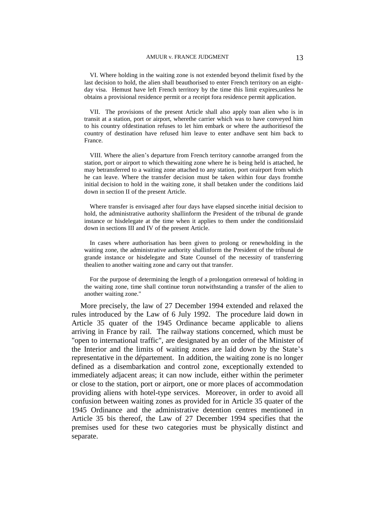VI. Where holding in the waiting zone is not extended beyond thelimit fixed by the last decision to hold, the alien shall beauthorised to enter French territory on an eightday visa. Hemust have left French territory by the time this limit expires,unless he obtains a provisional residence permit or a receipt fora residence permit application.

VII. The provisions of the present Article shall also apply toan alien who is in transit at a station, port or airport, wherethe carrier which was to have conveyed him to his country ofdestination refuses to let him embark or where the authoritiesof the country of destination have refused him leave to enter andhave sent him back to France.

VIII. Where the alien's departure from French territory cannotbe arranged from the station, port or airport to which thewaiting zone where he is being held is attached, he may betransferred to a waiting zone attached to any station, port orairport from which he can leave. Where the transfer decision must be taken within four days fromthe initial decision to hold in the waiting zone, it shall betaken under the conditions laid down in section II of the present Article.

Where transfer is envisaged after four days have elapsed sincethe initial decision to hold, the administrative authority shallinform the President of the tribunal de grande instance or hisdelegate at the time when it applies to them under the conditionslaid down in sections III and IV of the present Article.

In cases where authorisation has been given to prolong or renewholding in the waiting zone, the administrative authority shallinform the President of the tribunal de grande instance or hisdelegate and State Counsel of the necessity of transferring thealien to another waiting zone and carry out that transfer.

For the purpose of determining the length of a prolongation orrenewal of holding in the waiting zone, time shall continue torun notwithstanding a transfer of the alien to another waiting zone."

More precisely, the law of 27 December 1994 extended and relaxed the rules introduced by the Law of 6 July 1992. The procedure laid down in Article 35 quater of the 1945 Ordinance became applicable to aliens arriving in France by rail. The railway stations concerned, which must be "open to international traffic", are designated by an order of the Minister of the Interior and the limits of waiting zones are laid down by the State's representative in the département. In addition, the waiting zone is no longer defined as a disembarkation and control zone, exceptionally extended to immediately adjacent areas; it can now include, either within the perimeter or close to the station, port or airport, one or more places of accommodation providing aliens with hotel-type services. Moreover, in order to avoid all confusion between waiting zones as provided for in Article 35 quater of the 1945 Ordinance and the administrative detention centres mentioned in Article 35 bis thereof, the Law of 27 December 1994 specifies that the premises used for these two categories must be physically distinct and separate.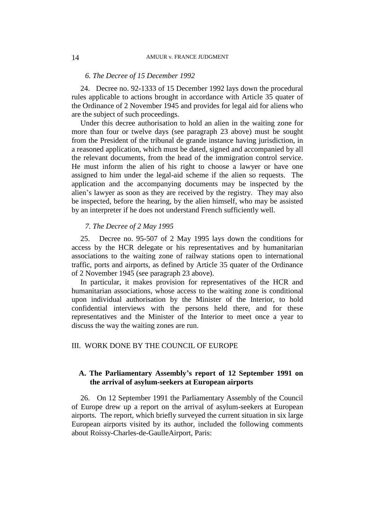#### *6. The Decree of 15 December 1992*

24. Decree no. 92-1333 of 15 December 1992 lays down the procedural rules applicable to actions brought in accordance with Article 35 quater of the Ordinance of 2 November 1945 and provides for legal aid for aliens who are the subject of such proceedings.

Under this decree authorisation to hold an alien in the waiting zone for more than four or twelve days (see paragraph 23 above) must be sought from the President of the tribunal de grande instance having jurisdiction, in a reasoned application, which must be dated, signed and accompanied by all the relevant documents, from the head of the immigration control service. He must inform the alien of his right to choose a lawyer or have one assigned to him under the legal-aid scheme if the alien so requests. The application and the accompanying documents may be inspected by the alien's lawyer as soon as they are received by the registry. They may also be inspected, before the hearing, by the alien himself, who may be assisted by an interpreter if he does not understand French sufficiently well.

#### *7. The Decree of 2 May 1995*

25. Decree no. 95-507 of 2 May 1995 lays down the conditions for access by the HCR delegate or his representatives and by humanitarian associations to the waiting zone of railway stations open to international traffic, ports and airports, as defined by Article 35 quater of the Ordinance of 2 November 1945 (see paragraph 23 above).

In particular, it makes provision for representatives of the HCR and humanitarian associations, whose access to the waiting zone is conditional upon individual authorisation by the Minister of the Interior, to hold confidential interviews with the persons held there, and for these representatives and the Minister of the Interior to meet once a year to discuss the way the waiting zones are run.

# III. WORK DONE BY THE COUNCIL OF EUROPE

# **A. The Parliamentary Assembly's report of 12 September 1991 on the arrival of asylum-seekers at European airports**

26. On 12 September 1991 the Parliamentary Assembly of the Council of Europe drew up a report on the arrival of asylum-seekers at European airports. The report, which briefly surveyed the current situation in six large European airports visited by its author, included the following comments about Roissy-Charles-de-GaulleAirport, Paris: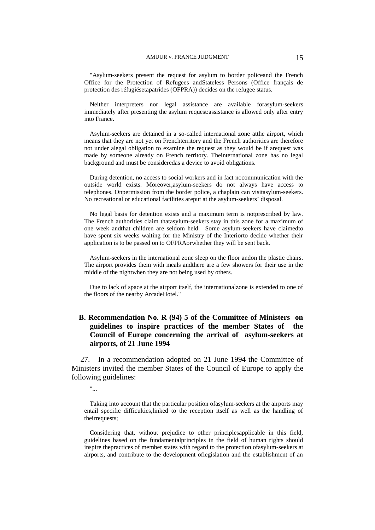"Asylum-seekers present the request for asylum to border policeand the French Office for the Protection of Refugees andStateless Persons (Office français de protection des réfugiésetapatrides (OFPRA)) decides on the refugee status.

Neither interpreters nor legal assistance are available forasylum-seekers immediately after presenting the asylum request:assistance is allowed only after entry into France.

Asylum-seekers are detained in a so-called international zone atthe airport, which means that they are not yet on Frenchterritory and the French authorities are therefore not under alegal obligation to examine the request as they would be if arequest was made by someone already on French territory. Theinternational zone has no legal background and must be consideredas a device to avoid obligations.

During detention, no access to social workers and in fact nocommunication with the outside world exists. Moreover,asylum-seekers do not always have access to telephones. Onpermission from the border police, a chaplain can visitasylum-seekers. No recreational or educational facilities areput at the asylum-seekers' disposal.

No legal basis for detention exists and a maximum term is notprescribed by law. The French authorities claim thatasylum-seekers stay in this zone for a maximum of one week andthat children are seldom held. Some asylum-seekers have claimedto have spent six weeks waiting for the Ministry of the Interiorto decide whether their application is to be passed on to OFPRAorwhether they will be sent back.

Asylum-seekers in the international zone sleep on the floor andon the plastic chairs. The airport provides them with meals andthere are a few showers for their use in the middle of the nightwhen they are not being used by others.

Due to lack of space at the airport itself, the internationalzone is extended to one of the floors of the nearby ArcadeHotel."

# **B. Recommendation No. R (94) 5 of the Committee of Ministers on guidelines to inspire practices of the member States of the Council of Europe concerning the arrival of asylum-seekers at airports, of 21 June 1994**

27. In a recommendation adopted on 21 June 1994 the Committee of Ministers invited the member States of the Council of Europe to apply the following guidelines:

"...

Taking into account that the particular position ofasylum-seekers at the airports may entail specific difficulties,linked to the reception itself as well as the handling of theirrequests;

Considering that, without prejudice to other principlesapplicable in this field, guidelines based on the fundamentalprinciples in the field of human rights should inspire thepractices of member states with regard to the protection ofasylum-seekers at airports, and contribute to the development oflegislation and the establishment of an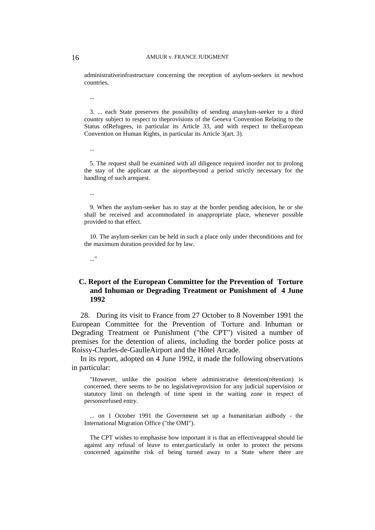administrativeinfrastructure concerning the reception of asylum-seekers in newhost countries,

3. ... each State preserves the possibility of sending anasylum-seeker to a third country subject to respect to theprovisions of the Geneva Convention Relating to the Status ofRefugees, in particular its Article 33, and with respect to theEuropean Convention on Human Rights, in particular its Article 3(art. 3).

...

...

5. The request shall be examined with all diligence required inorder not to prolong the stay of the applicant at the airportbeyond a period strictly necessary for the handling of such arequest.

...

9. When the asylum-seeker has to stay at the border pending adecision, he or she shall be received and accommodated in anappropriate place, whenever possible provided to that effect.

10. The asylum-seeker can be held in such a place only under theconditions and for the maximum duration provided for by law.

..."

# **C. Report of the European Committee for the Prevention of Torture and Inhuman or Degrading Treatment or Punishment of 4 June 1992**

28. During its visit to France from 27 October to 8 November 1991 the European Committee for the Prevention of Torture and Inhuman or Degrading Treatment or Punishment ("the CPT") visited a number of premises for the detention of aliens, including the border police posts at Roissy-Charles-de-GaulleAirport and the Hôtel Arcade.

In its report, adopted on 4 June 1992, it made the following observations in particular:

"However, unlike the position where administrative detention(rétention) is concerned, there seems to be no legislativeprovision for any judicial supervision or statutory limit on thelength of time spent in the waiting zone in respect of personsrefused entry.

... on 1 October 1991 the Government set up a humanitarian aidbody - the International Migration Office ("the OMI").

The CPT wishes to emphasise how important it is that an effectiveappeal should lie against any refusal of leave to enter,particularly in order to protect the persons concerned againstthe risk of being turned away to a State where there are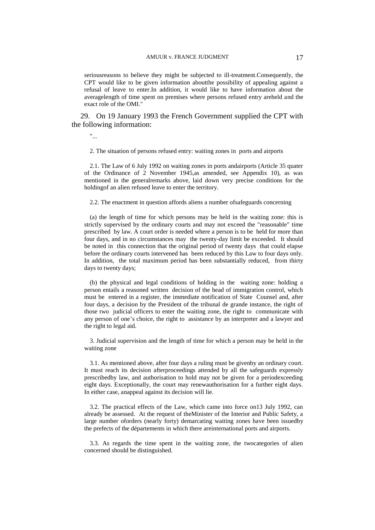seriousreasons to believe they might be subjected to ill-treatment.Consequently, the CPT would like to be given information aboutthe possibility of appealing against a refusal of leave to enter.In addition, it would like to have information about the averagelength of time spent on premises where persons refused entry areheld and the exact role of the OMI."

29. On 19 January 1993 the French Government supplied the CPT with the following information:

"...

2. The situation of persons refused entry: waiting zones in ports and airports

2.1. The Law of 6 July 1992 on waiting zones in ports andairports (Article 35 quater of the Ordinance of 2 November 1945,as amended, see Appendix 10), as was mentioned in the generalremarks above, laid down very precise conditions for the holdingof an alien refused leave to enter the territory.

2.2. The enactment in question affords aliens a number ofsafeguards concerning

(a) the length of time for which persons may be held in the waiting zone: this is strictly supervised by the ordinary courts and may not exceed the "reasonable" time prescribed by law. A court order is needed where a person is to be held for more than four days, and in no circumstances may the twenty-day limit be exceeded. It should be noted in this connection that the original period of twenty days that could elapse before the ordinary courts intervened has been reduced by this Law to four days only. In addition, the total maximum period has been substantially reduced, from thirty days to twenty days;

(b) the physical and legal conditions of holding in the waiting zone: holding a person entails a reasoned written decision of the head of immigration control, which must be entered in a register, the immediate notification of State Counsel and, after four days, a decision by the President of the tribunal de grande instance, the right of those two judicial officers to enter the waiting zone, the right to communicate with any person of one's choice, the right to assistance by an interpreter and a lawyer and the right to legal aid.

3. Judicial supervision and the length of time for which a person may be held in the waiting zone

3.1. As mentioned above, after four days a ruling must be givenby an ordinary court. It must reach its decision afterproceedings attended by all the safeguards expressly prescribedby law, and authorisation to hold may not be given for a periodexceeding eight days. Exceptionally, the court may renewauthorisation for a further eight days. In either case, anappeal against its decision will lie.

3.2. The practical effects of the Law, which came into force on13 July 1992, can already be assessed. At the request of theMinister of the Interior and Public Safety, a large number oforders (nearly forty) demarcating waiting zones have been issuedby the prefects of the départements in which there areinternational ports and airports.

3.3. As regards the time spent in the waiting zone, the twocategories of alien concerned should be distinguished.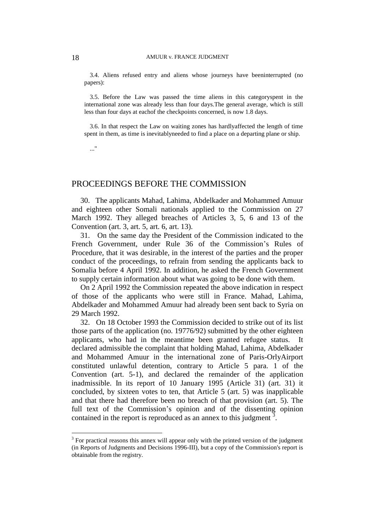3.4. Aliens refused entry and aliens whose journeys have beeninterrupted (no papers):

3.5. Before the Law was passed the time aliens in this categoryspent in the international zone was already less than four days.The general average, which is still less than four days at eachof the checkpoints concerned, is now 1.8 days.

3.6. In that respect the Law on waiting zones has hardlyaffected the length of time spent in them, as time is inevitablyneeded to find a place on a departing plane or ship.

..."

<u>.</u>

# PROCEEDINGS BEFORE THE COMMISSION

30. The applicants Mahad, Lahima, Abdelkader and Mohammed Amuur and eighteen other Somali nationals applied to the Commission on 27 March 1992. They alleged breaches of Articles 3, 5, 6 and 13 of the Convention (art. 3, art. 5, art. 6, art. 13).

31. On the same day the President of the Commission indicated to the French Government, under Rule 36 of the Commission's Rules of Procedure, that it was desirable, in the interest of the parties and the proper conduct of the proceedings, to refrain from sending the applicants back to Somalia before 4 April 1992. In addition, he asked the French Government to supply certain information about what was going to be done with them.

On 2 April 1992 the Commission repeated the above indication in respect of those of the applicants who were still in France. Mahad, Lahima, Abdelkader and Mohammed Amuur had already been sent back to Syria on 29 March 1992.

32. On 18 October 1993 the Commission decided to strike out of its list those parts of the application (no. 19776/92) submitted by the other eighteen applicants, who had in the meantime been granted refugee status. It declared admissible the complaint that holding Mahad, Lahima, Abdelkader and Mohammed Amuur in the international zone of Paris-OrlyAirport constituted unlawful detention, contrary to Article 5 para. 1 of the Convention (art. 5-1), and declared the remainder of the application inadmissible. In its report of 10 January 1995 (Article 31) (art. 31) it concluded, by sixteen votes to ten, that Article 5 (art. 5) was inapplicable and that there had therefore been no breach of that provision (art. 5). The full text of the Commission's opinion and of the dissenting opinion contained in the report is reproduced as an annex to this judgment  $\overline{3}$ .

 $3$  For practical reasons this annex will appear only with the printed version of the judgment (in Reports of Judgments and Decisions 1996-III), but a copy of the Commission's report is obtainable from the registry.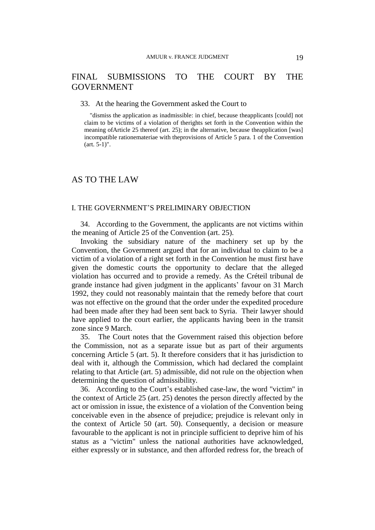# FINAL SUBMISSIONS TO THE COURT BY THE GOVERNMENT

#### 33. At the hearing the Government asked the Court to

"dismiss the application as inadmissible: in chief, because theapplicants [could] not claim to be victims of a violation of therights set forth in the Convention within the meaning ofArticle 25 thereof (art. 25); in the alternative, because theapplication [was] incompatible rationemateriae with theprovisions of Article 5 para. 1 of the Convention (art. 5-1)".

# AS TO THE LAW

#### I. THE GOVERNMENT'S PRELIMINARY OBJECTION

34. According to the Government, the applicants are not victims within the meaning of Article 25 of the Convention (art. 25).

Invoking the subsidiary nature of the machinery set up by the Convention, the Government argued that for an individual to claim to be a victim of a violation of a right set forth in the Convention he must first have given the domestic courts the opportunity to declare that the alleged violation has occurred and to provide a remedy. As the Créteil tribunal de grande instance had given judgment in the applicants' favour on 31 March 1992, they could not reasonably maintain that the remedy before that court was not effective on the ground that the order under the expedited procedure had been made after they had been sent back to Syria. Their lawyer should have applied to the court earlier, the applicants having been in the transit zone since 9 March.

35. The Court notes that the Government raised this objection before the Commission, not as a separate issue but as part of their arguments concerning Article 5 (art. 5). It therefore considers that it has jurisdiction to deal with it, although the Commission, which had declared the complaint relating to that Article (art. 5) admissible, did not rule on the objection when determining the question of admissibility.

36. According to the Court's established case-law, the word "victim" in the context of Article 25 (art. 25) denotes the person directly affected by the act or omission in issue, the existence of a violation of the Convention being conceivable even in the absence of prejudice; prejudice is relevant only in the context of Article 50 (art. 50). Consequently, a decision or measure favourable to the applicant is not in principle sufficient to deprive him of his status as a "victim" unless the national authorities have acknowledged, either expressly or in substance, and then afforded redress for, the breach of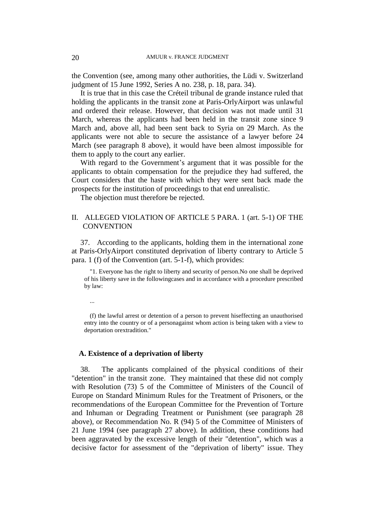the Convention (see, among many other authorities, the Lüdi v. Switzerland judgment of 15 June 1992, Series A no. 238, p. 18, para. 34).

It is true that in this case the Créteil tribunal de grande instance ruled that holding the applicants in the transit zone at Paris-OrlyAirport was unlawful and ordered their release. However, that decision was not made until 31 March, whereas the applicants had been held in the transit zone since 9 March and, above all, had been sent back to Syria on 29 March. As the applicants were not able to secure the assistance of a lawyer before 24 March (see paragraph 8 above), it would have been almost impossible for them to apply to the court any earlier.

With regard to the Government's argument that it was possible for the applicants to obtain compensation for the prejudice they had suffered, the Court considers that the haste with which they were sent back made the prospects for the institution of proceedings to that end unrealistic.

The objection must therefore be rejected.

# II. ALLEGED VIOLATION OF ARTICLE 5 PARA. 1 (art. 5-1) OF THE **CONVENTION**

37. According to the applicants, holding them in the international zone at Paris-OrlyAirport constituted deprivation of liberty contrary to Article 5 para. 1 (f) of the Convention (art. 5-1-f), which provides:

"1. Everyone has the right to liberty and security of person.No one shall be deprived of his liberty save in the followingcases and in accordance with a procedure prescribed by law:

...

(f) the lawful arrest or detention of a person to prevent hiseffecting an unauthorised entry into the country or of a personagainst whom action is being taken with a view to deportation orextradition."

#### **A. Existence of a deprivation of liberty**

38. The applicants complained of the physical conditions of their "detention" in the transit zone. They maintained that these did not comply with Resolution (73) 5 of the Committee of Ministers of the Council of Europe on Standard Minimum Rules for the Treatment of Prisoners, or the recommendations of the European Committee for the Prevention of Torture and Inhuman or Degrading Treatment or Punishment (see paragraph 28 above), or Recommendation No. R (94) 5 of the Committee of Ministers of 21 June 1994 (see paragraph 27 above). In addition, these conditions had been aggravated by the excessive length of their "detention", which was a decisive factor for assessment of the "deprivation of liberty" issue. They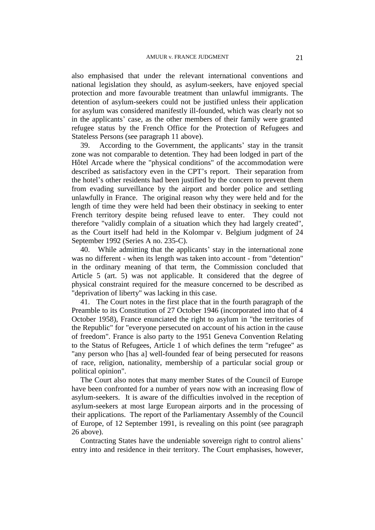also emphasised that under the relevant international conventions and national legislation they should, as asylum-seekers, have enjoyed special protection and more favourable treatment than unlawful immigrants. The detention of asylum-seekers could not be justified unless their application for asylum was considered manifestly ill-founded, which was clearly not so in the applicants' case, as the other members of their family were granted refugee status by the French Office for the Protection of Refugees and Stateless Persons (see paragraph 11 above).

39. According to the Government, the applicants' stay in the transit zone was not comparable to detention. They had been lodged in part of the Hôtel Arcade where the "physical conditions" of the accommodation were described as satisfactory even in the CPT's report. Their separation from the hotel's other residents had been justified by the concern to prevent them from evading surveillance by the airport and border police and settling unlawfully in France. The original reason why they were held and for the length of time they were held had been their obstinacy in seeking to enter French territory despite being refused leave to enter. They could not therefore "validly complain of a situation which they had largely created", as the Court itself had held in the Kolompar v. Belgium judgment of 24 September 1992 (Series A no. 235-C).

40. While admitting that the applicants' stay in the international zone was no different - when its length was taken into account - from "detention" in the ordinary meaning of that term, the Commission concluded that Article 5 (art. 5) was not applicable. It considered that the degree of physical constraint required for the measure concerned to be described as "deprivation of liberty" was lacking in this case.

41. The Court notes in the first place that in the fourth paragraph of the Preamble to its Constitution of 27 October 1946 (incorporated into that of 4 October 1958), France enunciated the right to asylum in "the territories of the Republic" for "everyone persecuted on account of his action in the cause of freedom". France is also party to the 1951 Geneva Convention Relating to the Status of Refugees, Article 1 of which defines the term "refugee" as "any person who [has a] well-founded fear of being persecuted for reasons of race, religion, nationality, membership of a particular social group or political opinion".

The Court also notes that many member States of the Council of Europe have been confronted for a number of years now with an increasing flow of asylum-seekers. It is aware of the difficulties involved in the reception of asylum-seekers at most large European airports and in the processing of their applications. The report of the Parliamentary Assembly of the Council of Europe, of 12 September 1991, is revealing on this point (see paragraph 26 above).

Contracting States have the undeniable sovereign right to control aliens' entry into and residence in their territory. The Court emphasises, however,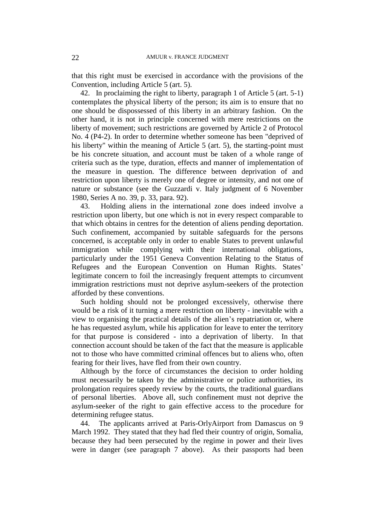that this right must be exercised in accordance with the provisions of the Convention, including Article 5 (art. 5).

42. In proclaiming the right to liberty, paragraph 1 of Article 5 (art. 5-1) contemplates the physical liberty of the person; its aim is to ensure that no one should be dispossessed of this liberty in an arbitrary fashion. On the other hand, it is not in principle concerned with mere restrictions on the liberty of movement; such restrictions are governed by Article 2 of Protocol No. 4 (P4-2). In order to determine whether someone has been "deprived of his liberty" within the meaning of Article 5 (art. 5), the starting-point must be his concrete situation, and account must be taken of a whole range of criteria such as the type, duration, effects and manner of implementation of the measure in question. The difference between deprivation of and restriction upon liberty is merely one of degree or intensity, and not one of nature or substance (see the Guzzardi v. Italy judgment of 6 November 1980, Series A no. 39, p. 33, para. 92).

43. Holding aliens in the international zone does indeed involve a restriction upon liberty, but one which is not in every respect comparable to that which obtains in centres for the detention of aliens pending deportation. Such confinement, accompanied by suitable safeguards for the persons concerned, is acceptable only in order to enable States to prevent unlawful immigration while complying with their international obligations, particularly under the 1951 Geneva Convention Relating to the Status of Refugees and the European Convention on Human Rights. States' legitimate concern to foil the increasingly frequent attempts to circumvent immigration restrictions must not deprive asylum-seekers of the protection afforded by these conventions.

Such holding should not be prolonged excessively, otherwise there would be a risk of it turning a mere restriction on liberty - inevitable with a view to organising the practical details of the alien's repatriation or, where he has requested asylum, while his application for leave to enter the territory for that purpose is considered - into a deprivation of liberty. In that connection account should be taken of the fact that the measure is applicable not to those who have committed criminal offences but to aliens who, often fearing for their lives, have fled from their own country.

Although by the force of circumstances the decision to order holding must necessarily be taken by the administrative or police authorities, its prolongation requires speedy review by the courts, the traditional guardians of personal liberties. Above all, such confinement must not deprive the asylum-seeker of the right to gain effective access to the procedure for determining refugee status.

44. The applicants arrived at Paris-OrlyAirport from Damascus on 9 March 1992. They stated that they had fled their country of origin, Somalia, because they had been persecuted by the regime in power and their lives were in danger (see paragraph 7 above). As their passports had been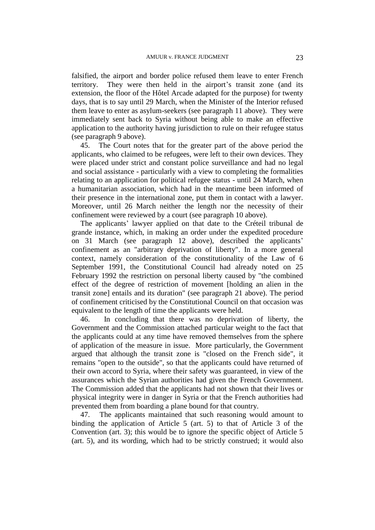falsified, the airport and border police refused them leave to enter French territory. They were then held in the airport's transit zone (and its extension, the floor of the Hôtel Arcade adapted for the purpose) for twenty days, that is to say until 29 March, when the Minister of the Interior refused them leave to enter as asylum-seekers (see paragraph 11 above). They were immediately sent back to Syria without being able to make an effective application to the authority having jurisdiction to rule on their refugee status (see paragraph 9 above).

45. The Court notes that for the greater part of the above period the applicants, who claimed to be refugees, were left to their own devices. They were placed under strict and constant police surveillance and had no legal and social assistance - particularly with a view to completing the formalities relating to an application for political refugee status - until 24 March, when a humanitarian association, which had in the meantime been informed of their presence in the international zone, put them in contact with a lawyer. Moreover, until 26 March neither the length nor the necessity of their confinement were reviewed by a court (see paragraph 10 above).

The applicants' lawyer applied on that date to the Créteil tribunal de grande instance, which, in making an order under the expedited procedure on 31 March (see paragraph 12 above), described the applicants' confinement as an "arbitrary deprivation of liberty". In a more general context, namely consideration of the constitutionality of the Law of 6 September 1991, the Constitutional Council had already noted on 25 February 1992 the restriction on personal liberty caused by "the combined effect of the degree of restriction of movement [holding an alien in the transit zone] entails and its duration" (see paragraph 21 above). The period of confinement criticised by the Constitutional Council on that occasion was equivalent to the length of time the applicants were held.

46. In concluding that there was no deprivation of liberty, the Government and the Commission attached particular weight to the fact that the applicants could at any time have removed themselves from the sphere of application of the measure in issue. More particularly, the Government argued that although the transit zone is "closed on the French side", it remains "open to the outside", so that the applicants could have returned of their own accord to Syria, where their safety was guaranteed, in view of the assurances which the Syrian authorities had given the French Government. The Commission added that the applicants had not shown that their lives or physical integrity were in danger in Syria or that the French authorities had prevented them from boarding a plane bound for that country.

47. The applicants maintained that such reasoning would amount to binding the application of Article 5 (art. 5) to that of Article 3 of the Convention (art. 3); this would be to ignore the specific object of Article 5 (art. 5), and its wording, which had to be strictly construed; it would also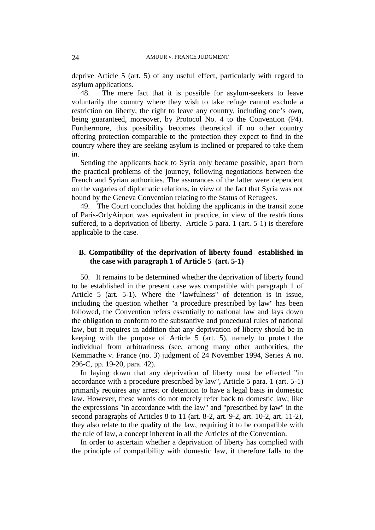deprive Article 5 (art. 5) of any useful effect, particularly with regard to asylum applications.

48. The mere fact that it is possible for asylum-seekers to leave voluntarily the country where they wish to take refuge cannot exclude a restriction on liberty, the right to leave any country, including one's own, being guaranteed, moreover, by Protocol No. 4 to the Convention (P4). Furthermore, this possibility becomes theoretical if no other country offering protection comparable to the protection they expect to find in the country where they are seeking asylum is inclined or prepared to take them in.

Sending the applicants back to Syria only became possible, apart from the practical problems of the journey, following negotiations between the French and Syrian authorities. The assurances of the latter were dependent on the vagaries of diplomatic relations, in view of the fact that Syria was not bound by the Geneva Convention relating to the Status of Refugees.

49. The Court concludes that holding the applicants in the transit zone of Paris-OrlyAirport was equivalent in practice, in view of the restrictions suffered, to a deprivation of liberty. Article 5 para. 1 (art. 5-1) is therefore applicable to the case.

# **B. Compatibility of the deprivation of liberty found established in the case with paragraph 1 of Article 5 (art. 5-1)**

50. It remains to be determined whether the deprivation of liberty found to be established in the present case was compatible with paragraph 1 of Article 5 (art. 5-1). Where the "lawfulness" of detention is in issue, including the question whether "a procedure prescribed by law" has been followed, the Convention refers essentially to national law and lays down the obligation to conform to the substantive and procedural rules of national law, but it requires in addition that any deprivation of liberty should be in keeping with the purpose of Article 5 (art. 5), namely to protect the individual from arbitrariness (see, among many other authorities, the Kemmache v. France (no. 3) judgment of 24 November 1994, Series A no. 296-C, pp. 19-20, para. 42).

In laying down that any deprivation of liberty must be effected "in accordance with a procedure prescribed by law", Article 5 para. 1 (art. 5-1) primarily requires any arrest or detention to have a legal basis in domestic law. However, these words do not merely refer back to domestic law; like the expressions "in accordance with the law" and "prescribed by law" in the second paragraphs of Articles 8 to 11 (art. 8-2, art. 9-2, art. 10-2, art. 11-2), they also relate to the quality of the law, requiring it to be compatible with the rule of law, a concept inherent in all the Articles of the Convention.

In order to ascertain whether a deprivation of liberty has complied with the principle of compatibility with domestic law, it therefore falls to the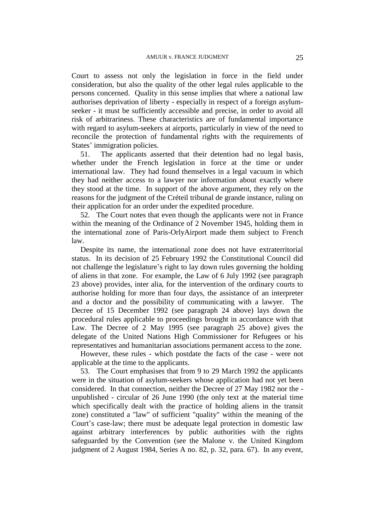Court to assess not only the legislation in force in the field under consideration, but also the quality of the other legal rules applicable to the persons concerned. Quality in this sense implies that where a national law authorises deprivation of liberty - especially in respect of a foreign asylumseeker - it must be sufficiently accessible and precise, in order to avoid all risk of arbitrariness. These characteristics are of fundamental importance with regard to asylum-seekers at airports, particularly in view of the need to reconcile the protection of fundamental rights with the requirements of States' immigration policies.

51. The applicants asserted that their detention had no legal basis, whether under the French legislation in force at the time or under international law. They had found themselves in a legal vacuum in which they had neither access to a lawyer nor information about exactly where they stood at the time. In support of the above argument, they rely on the reasons for the judgment of the Créteil tribunal de grande instance, ruling on their application for an order under the expedited procedure.

52. The Court notes that even though the applicants were not in France within the meaning of the Ordinance of 2 November 1945, holding them in the international zone of Paris-OrlyAirport made them subject to French law.

Despite its name, the international zone does not have extraterritorial status. In its decision of 25 February 1992 the Constitutional Council did not challenge the legislature's right to lay down rules governing the holding of aliens in that zone. For example, the Law of 6 July 1992 (see paragraph 23 above) provides, inter alia, for the intervention of the ordinary courts to authorise holding for more than four days, the assistance of an interpreter and a doctor and the possibility of communicating with a lawyer. The Decree of 15 December 1992 (see paragraph 24 above) lays down the procedural rules applicable to proceedings brought in accordance with that Law. The Decree of 2 May 1995 (see paragraph 25 above) gives the delegate of the United Nations High Commissioner for Refugees or his representatives and humanitarian associations permanent access to the zone.

However, these rules - which postdate the facts of the case - were not applicable at the time to the applicants.

53. The Court emphasises that from 9 to 29 March 1992 the applicants were in the situation of asylum-seekers whose application had not yet been considered. In that connection, neither the Decree of 27 May 1982 nor the unpublished - circular of 26 June 1990 (the only text at the material time which specifically dealt with the practice of holding aliens in the transit zone) constituted a "law" of sufficient "quality" within the meaning of the Court's case-law; there must be adequate legal protection in domestic law against arbitrary interferences by public authorities with the rights safeguarded by the Convention (see the Malone v. the United Kingdom judgment of 2 August 1984, Series A no. 82, p. 32, para. 67). In any event,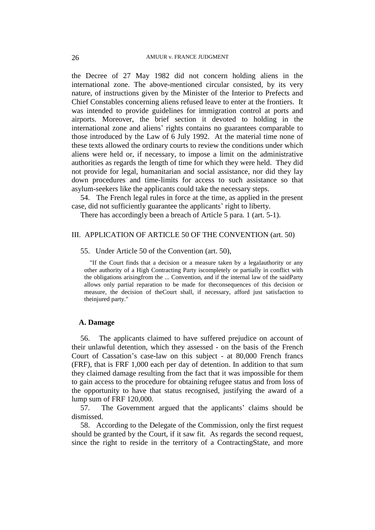the Decree of 27 May 1982 did not concern holding aliens in the international zone. The above-mentioned circular consisted, by its very nature, of instructions given by the Minister of the Interior to Prefects and Chief Constables concerning aliens refused leave to enter at the frontiers. It was intended to provide guidelines for immigration control at ports and airports. Moreover, the brief section it devoted to holding in the international zone and aliens' rights contains no guarantees comparable to those introduced by the Law of 6 July 1992. At the material time none of these texts allowed the ordinary courts to review the conditions under which aliens were held or, if necessary, to impose a limit on the administrative authorities as regards the length of time for which they were held. They did not provide for legal, humanitarian and social assistance, nor did they lay down procedures and time-limits for access to such assistance so that asylum-seekers like the applicants could take the necessary steps.

54. The French legal rules in force at the time, as applied in the present case, did not sufficiently guarantee the applicants' right to liberty.

There has accordingly been a breach of Article 5 para. 1 (art. 5-1).

#### III. APPLICATION OF ARTICLE 50 OF THE CONVENTION (art. 50)

#### 55. Under Article 50 of the Convention (art. 50),

"If the Court finds that a decision or a measure taken by a legalauthority or any other authority of a High Contracting Party iscompletely or partially in conflict with the obligations arisingfrom the ... Convention, and if the internal law of the saidParty allows only partial reparation to be made for theconsequences of this decision or measure, the decision of theCourt shall, if necessary, afford just satisfaction to theinjured party."

## **A. Damage**

56. The applicants claimed to have suffered prejudice on account of their unlawful detention, which they assessed - on the basis of the French Court of Cassation's case-law on this subject - at 80,000 French francs (FRF), that is FRF 1,000 each per day of detention. In addition to that sum they claimed damage resulting from the fact that it was impossible for them to gain access to the procedure for obtaining refugee status and from loss of the opportunity to have that status recognised, justifying the award of a lump sum of FRF 120,000.

57. The Government argued that the applicants' claims should be dismissed.

58. According to the Delegate of the Commission, only the first request should be granted by the Court, if it saw fit. As regards the second request, since the right to reside in the territory of a ContractingState, and more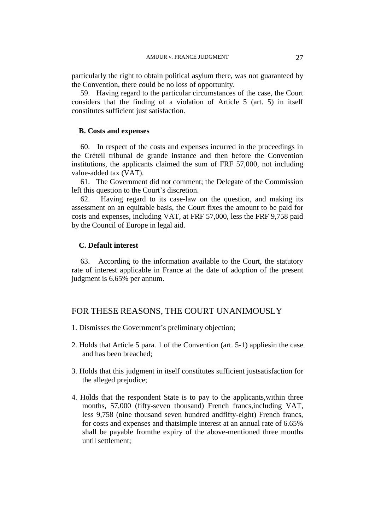particularly the right to obtain political asylum there, was not guaranteed by the Convention, there could be no loss of opportunity.

59. Having regard to the particular circumstances of the case, the Court considers that the finding of a violation of Article 5 (art. 5) in itself constitutes sufficient just satisfaction.

#### **B. Costs and expenses**

60. In respect of the costs and expenses incurred in the proceedings in the Créteil tribunal de grande instance and then before the Convention institutions, the applicants claimed the sum of FRF 57,000, not including value-added tax (VAT).

61. The Government did not comment; the Delegate of the Commission left this question to the Court's discretion.

62. Having regard to its case-law on the question, and making its assessment on an equitable basis, the Court fixes the amount to be paid for costs and expenses, including VAT, at FRF 57,000, less the FRF 9,758 paid by the Council of Europe in legal aid.

# **C. Default interest**

63. According to the information available to the Court, the statutory rate of interest applicable in France at the date of adoption of the present judgment is 6.65% per annum.

# FOR THESE REASONS, THE COURT UNANIMOUSLY

- 1. Dismisses the Government's preliminary objection;
- 2. Holds that Article 5 para. 1 of the Convention (art. 5-1) appliesin the case and has been breached;
- 3. Holds that this judgment in itself constitutes sufficient justsatisfaction for the alleged prejudice;
- 4. Holds that the respondent State is to pay to the applicants,within three months, 57,000 (fifty-seven thousand) French francs,including VAT, less 9,758 (nine thousand seven hundred andfifty-eight) French francs, for costs and expenses and thatsimple interest at an annual rate of 6.65% shall be payable fromthe expiry of the above-mentioned three months until settlement;